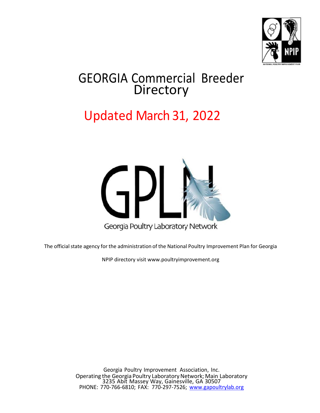

## GEORGIA Commercial Breeder **Directory**

## Updated March 31, 2022



The official state agency for the administration of the National Poultry Improvement Plan for Georgia

NPIP directory visit [www.poultryimprovement.org](http://www.poultryimprovement.org/)

Georgia Poultry Improvement Association, Inc. Operating the Georgia Poultry Laboratory Network; Main Laboratory 3235 Abit Massey Way, Gainesville, GA 30507 PHONE: 770-766-6810; FAX: 770-297-7526; [www.gapoultrylab.org](http://www.gapoultrylab.org/)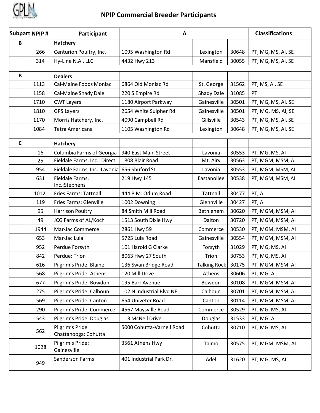

| Subpart NPIP # |      | Participant                             | A                         |                     |       | <b>Classifications</b> |
|----------------|------|-----------------------------------------|---------------------------|---------------------|-------|------------------------|
| B              |      | Hatchery                                |                           |                     |       |                        |
|                | 266  | Centurion Poultry, Inc.                 | 1095 Washington Rd        | Lexington           | 30648 | PT, MG, MS, AI, SE     |
|                | 314  | Hy-Line N.A., LLC                       | 4432 Hwy 213              | Mansfield           | 30055 | PT, MG, MS, AI, SE     |
|                |      |                                         |                           |                     |       |                        |
| $\, {\bf B}$   |      | <b>Dealers</b>                          |                           |                     |       |                        |
|                | 1113 | <b>Cal-Maine Foods Moniac</b>           | 6864 Old Moniac Rd        | St. George          | 31562 | PT, MS, AI, SE         |
|                | 1158 | Cal-Maine Shady Dale                    | 220 S Empire Rd           | Shady Dale          | 31085 | PT                     |
|                | 1710 | <b>CWT Layers</b>                       | 1180 Airport Parkway      | Gainesville         | 30501 | PT, MG, MS, AI, SE     |
|                | 1810 | <b>GPS Layers</b>                       | 2654 White Sulpher Rd     | Gainesville         | 30501 | PT, MG, MS, AI, SE     |
|                | 1170 | Morris Hatchery, Inc.                   | 4090 Campbell Rd          | Gillsville          | 30543 | PT, MG, MS, AI, SE     |
|                | 1084 | Tetra Americana                         | 1105 Washington Rd        | Lexington           | 30648 | PT, MG, MS, AI, SE     |
| $\mathsf C$    |      | Hatchery                                |                           |                     |       |                        |
|                | 16   | Columbia Farms of Georgia               | 940 East Main Street      | Lavonia             | 30553 | PT, MG, MS, AI         |
|                | 25   | Fieldale Farms, Inc.: Direct            | 1808 Blair Road           | Mt. Airy            | 30563 | PT, MGM, MSM, AI       |
|                | 954  | Fieldale Farms, Inc.: Lavonia           | 656 Shuford St            | Lavonia             | 30553 | PT, MGM, MSM, AI       |
|                | 631  | Fieldale Farms,<br>Inc.:Stephens        | 219 Hwy 145               | Eastanollee         | 30538 | PT, MGM, MSM, AI       |
|                | 1012 | <b>Fries Farms: Tattnall</b>            | 444 P.M. Odum Road        | Tattnall            | 30477 | PT, AI                 |
|                | 119  | <b>Fries Farms: Glenville</b>           | 1002 Downing              | Glennville          | 30427 | PT, AI                 |
|                | 95   | <b>Harrison Poultry</b>                 | 84 Smith Mill Road        | Bethlehem           | 30620 | PT, MGM, MSM, AI       |
|                | 49   | JCG Farms of AL/Koch                    | 1513 South Dixie Hwy      | Dalton              | 30720 | PT, MGM, MSM, AI       |
|                | 1944 | Mar-Jac Commerce                        | 2861 Hwy 59               | Commerce            | 30530 | PT, MGM, MSM, AI       |
|                | 653  | Mar-Jac Lula                            | 5725 Lula Road            | Gainesville         | 30554 | PT, MGM, MSM, AI       |
|                | 952  | Perdue Forsyth                          | 101 Harold G Clarke       | Forsyth             | 31029 | PT, MG, MS, AI         |
|                | 842  | Perdue: Trion                           | 8063 Hwy 27 South         | Trion               | 30753 | PT, MG, MS, AI         |
|                | 616  | Pilgrim's Pride: Blaine                 | 136 Swan Bridge Road      | <b>Talking Rock</b> | 30175 | PT, MGM, MSM, AI       |
|                | 568  | Pilgrim's Pride: Athens                 | 120 Mill Drive            | Athens              | 30606 | PT, MG, AI             |
|                | 677  | Pilgrim's Pride: Bowdon                 | 195 Barr Avenue           | Bowdon              | 30108 | PT, MGM, MSM, AI       |
|                | 275  | Pilgrim's Pride: Calhoun                | 102 N Industrial Blvd NE  | Calhoun             | 30701 | PT, MGM, MSM, AI       |
|                | 569  | Pilgrim's Pride: Canton                 | 654 Univeter Road         | Canton              | 30114 | PT, MGM, MSM, AI       |
|                | 290  | Pilgrim's Pride: Commerce               | 4567 Maysville Road       | Commerce            | 30529 | PT, MG, MS, AI         |
|                | 543  | Pilgrim's Pride: Douglas                | 113 McNeil Drive          | Douglas             | 31533 | PT, MG, AI             |
|                | 562  | Pilgrim's Pride<br>Chattanooga: Cohutta | 5000 Cohutta-Varnell Road | Cohutta             | 30710 | PT, MG, MS, AI         |
|                | 1028 | Pilgrim's Pride:<br>Gainesville         | 3561 Athens Hwy           | Talmo               | 30575 | PT, MGM, MSM, AI       |
|                | 949  | Sanderson Farms                         | 401 Industrial Park Dr.   | Adel                | 31620 | PT, MG, MS, AI         |